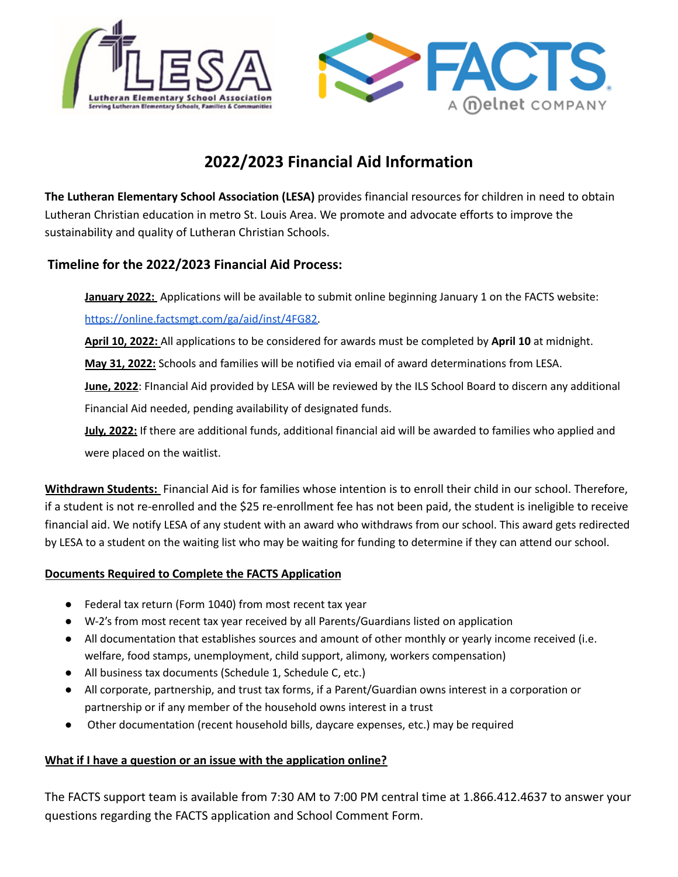

# **2022/2023 Financial Aid Information**

**The Lutheran Elementary School Association (LESA)** provides financial resources for children in need to obtain Lutheran Christian education in metro St. Louis Area. We promote and advocate efforts to improve the sustainability and quality of Lutheran Christian Schools.

#### **Timeline for the 2022/2023 Financial Aid Process:**

**January 2022:** Applications will be available to submit online beginning January 1 on the FACTS website:

[https://online.factsmgt.com/ga/aid/inst/4FG82.](https://online.factsmgt.com/ga/aid/inst/4FG82)

**April 10, 2022:** All applications to be considered for awards must be completed by **April 10** at midnight.

**May 31, 2022:** Schools and families will be notified via email of award determinations from LESA.

**June, 2022**: FInancial Aid provided by LESA will be reviewed by the ILS School Board to discern any additional Financial Aid needed, pending availability of designated funds.

**July, 2022:** If there are additional funds, additional financial aid will be awarded to families who applied and were placed on the waitlist.

**Withdrawn Students:** Financial Aid is for families whose intention is to enroll their child in our school. Therefore, if a student is not re-enrolled and the \$25 re-enrollment fee has not been paid, the student is ineligible to receive financial aid. We notify LESA of any student with an award who withdraws from our school. This award gets redirected by LESA to a student on the waiting list who may be waiting for funding to determine if they can attend our school.

#### **Documents Required to Complete the FACTS Application**

- Federal tax return (Form 1040) from most recent tax year
- W-2's from most recent tax year received by all Parents/Guardians listed on application
- All documentation that establishes sources and amount of other monthly or yearly income received (i.e. welfare, food stamps, unemployment, child support, alimony, workers compensation)
- All business tax documents (Schedule 1, Schedule C, etc.)
- All corporate, partnership, and trust tax forms, if a Parent/Guardian owns interest in a corporation or partnership or if any member of the household owns interest in a trust
- Other documentation (recent household bills, daycare expenses, etc.) may be required

#### **What if I have a question or an issue with the application online?**

The FACTS support team is available from 7:30 AM to 7:00 PM central time at 1.866.412.4637 to answer your questions regarding the FACTS application and School Comment Form.